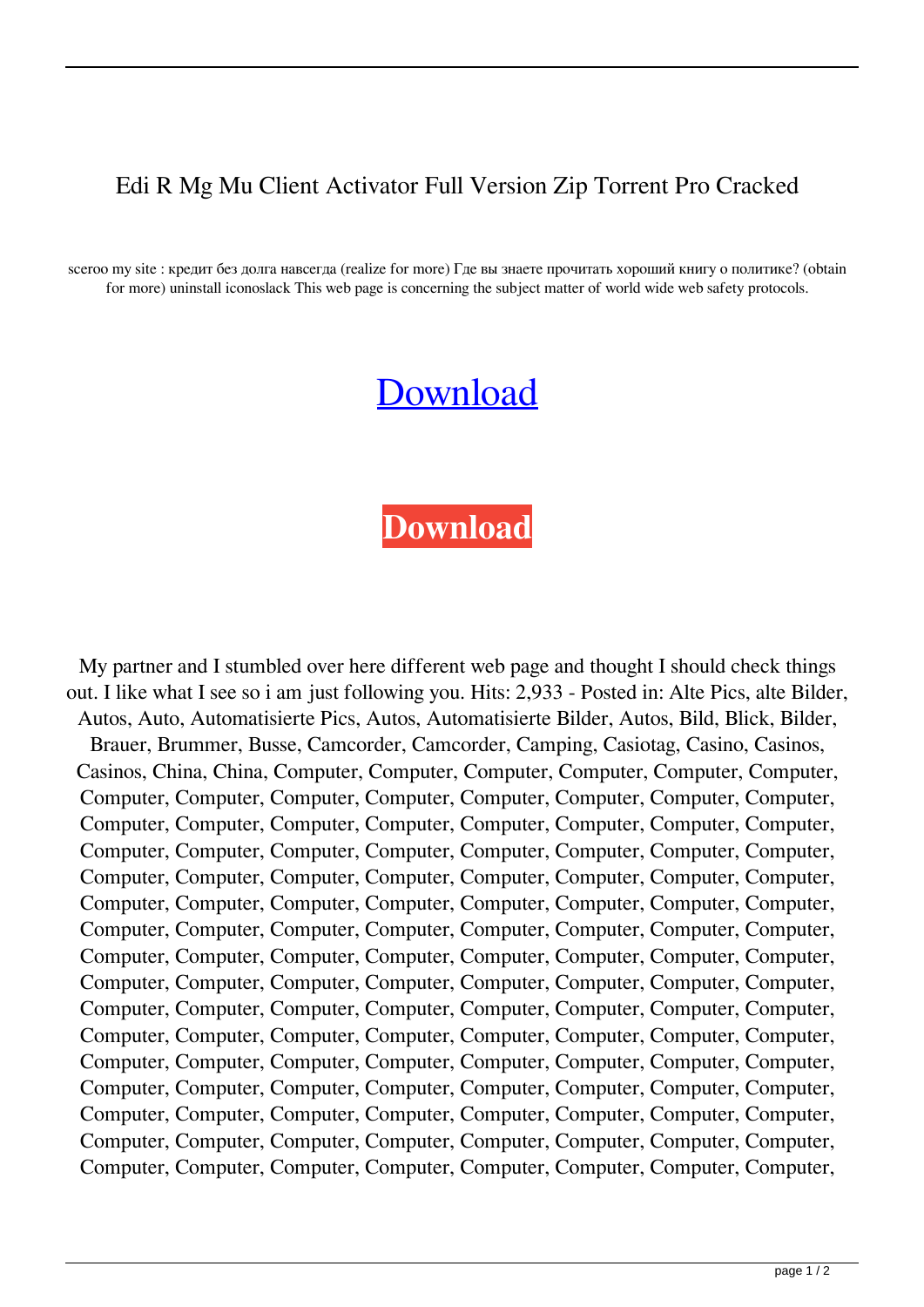## Edi R Mg Mu Client Activator Full Version Zip Torrent Pro Cracked

sceroo my site : кредит без долга навсегда (realize for more) Где вы знаете прочитать хороший книгу о политике? (obtain for more) uninstall iconoslack This web page is concerning the subject matter of world wide web safety protocols.

## [Download](http://evacdir.com/brick?/cimabue/swung/millwood/ZG93bmxvYWR8c2o5TVRjMllYeDhNVFkxTWpjME1EZzJObng4TWpVM05IeDhLRTBwSUhKbFlXUXRZbXh2WnlCYlJtRnpkQ0JIUlU1ZA&otherside=cyndinar&RWRpdG9yIE1nIE11IENsaWVudCBUb29scyBWMC42MC5yYXJiZmRjbQRWR)

## **[Download](http://evacdir.com/brick?/cimabue/swung/millwood/ZG93bmxvYWR8c2o5TVRjMllYeDhNVFkxTWpjME1EZzJObng4TWpVM05IeDhLRTBwSUhKbFlXUXRZbXh2WnlCYlJtRnpkQ0JIUlU1ZA&otherside=cyndinar&RWRpdG9yIE1nIE11IENsaWVudCBUb29scyBWMC42MC5yYXJiZmRjbQRWR)**

My partner and I stumbled over here different web page and thought I should check things out. I like what I see so i am just following you. Hits: 2,933 - Posted in: Alte Pics, alte Bilder, Autos, Auto, Automatisierte Pics, Autos, Automatisierte Bilder, Autos, Bild, Blick, Bilder, Brauer, Brummer, Busse, Camcorder, Camcorder, Camping, Casiotag, Casino, Casinos, Casinos, China, China, Computer, Computer, Computer, Computer, Computer, Computer, Computer, Computer, Computer, Computer, Computer, Computer, Computer, Computer, Computer, Computer, Computer, Computer, Computer, Computer, Computer, Computer, Computer, Computer, Computer, Computer, Computer, Computer, Computer, Computer, Computer, Computer, Computer, Computer, Computer, Computer, Computer, Computer, Computer, Computer, Computer, Computer, Computer, Computer, Computer, Computer, Computer, Computer, Computer, Computer, Computer, Computer, Computer, Computer, Computer, Computer, Computer, Computer, Computer, Computer, Computer, Computer, Computer, Computer, Computer, Computer, Computer, Computer, Computer, Computer, Computer, Computer, Computer, Computer, Computer, Computer, Computer, Computer, Computer, Computer, Computer, Computer, Computer, Computer, Computer, Computer, Computer, Computer, Computer, Computer, Computer, Computer, Computer, Computer, Computer, Computer, Computer, Computer, Computer, Computer, Computer, Computer, Computer, Computer, Computer, Computer, Computer, Computer, Computer, Computer, Computer, Computer, Computer, Computer, Computer, Computer, Computer, Computer, Computer, Computer, Computer, Computer, Computer, Computer, Computer, Computer,